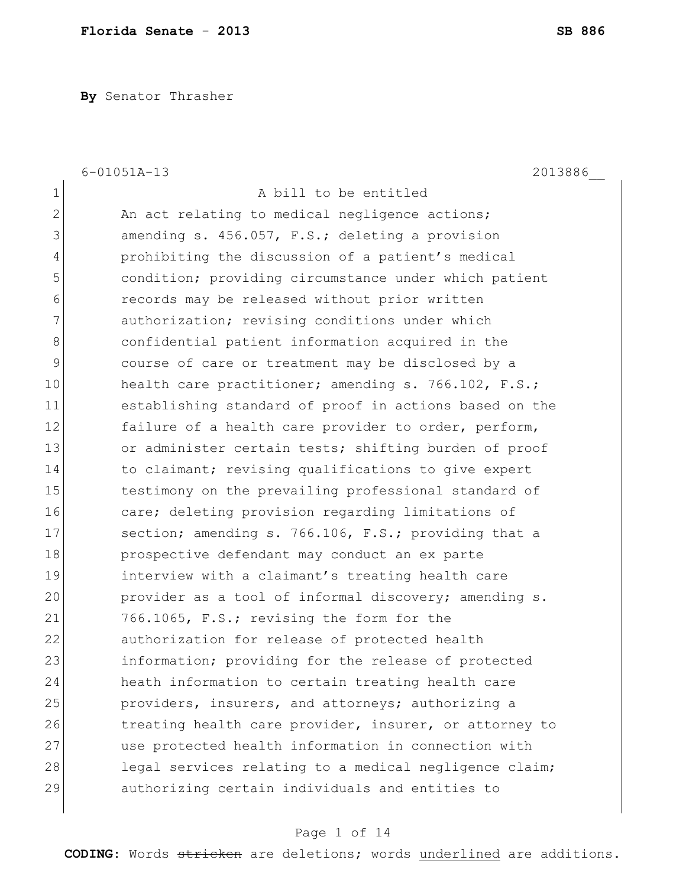**By** Senator Thrasher

|              | $6 - 01051A - 13$<br>2013886                           |
|--------------|--------------------------------------------------------|
| $\mathbf 1$  | A bill to be entitled                                  |
| $\mathbf{2}$ | An act relating to medical negligence actions;         |
| 3            | amending s. 456.057, F.S.; deleting a provision        |
| 4            | prohibiting the discussion of a patient's medical      |
| 5            | condition; providing circumstance under which patient  |
| 6            | records may be released without prior written          |
| 7            | authorization; revising conditions under which         |
| 8            | confidential patient information acquired in the       |
| 9            | course of care or treatment may be disclosed by a      |
| 10           | health care practitioner; amending s. 766.102, F.S.;   |
| 11           | establishing standard of proof in actions based on the |
| 12           | failure of a health care provider to order, perform,   |
| 13           | or administer certain tests; shifting burden of proof  |
| 14           | to claimant; revising qualifications to give expert    |
| 15           | testimony on the prevailing professional standard of   |
| 16           | care; deleting provision regarding limitations of      |
| 17           | section; amending s. 766.106, F.S.; providing that a   |
| 18           | prospective defendant may conduct an ex parte          |
| 19           | interview with a claimant's treating health care       |
| 20           | provider as a tool of informal discovery; amending s.  |
| 21           | 766.1065, F.S.; revising the form for the              |
| 22           | authorization for release of protected health          |
| 23           | information; providing for the release of protected    |
| 24           | heath information to certain treating health care      |
| 25           | providers, insurers, and attorneys; authorizing a      |
| 26           | treating health care provider, insurer, or attorney to |
| 27           | use protected health information in connection with    |
| 28           | legal services relating to a medical negligence claim; |
| 29           | authorizing certain individuals and entities to        |
|              |                                                        |

# Page 1 of 14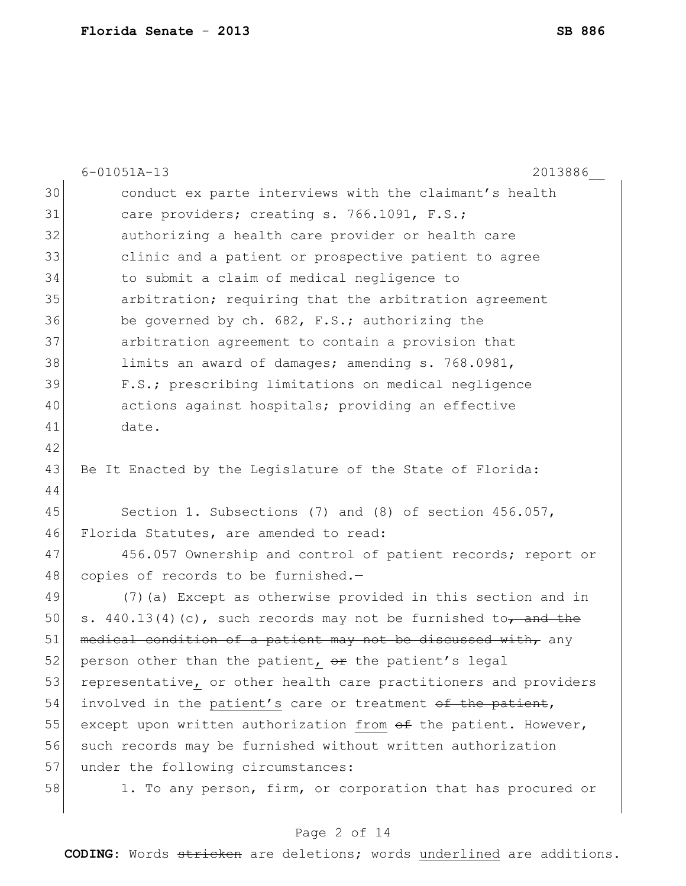|    | $6 - 01051A - 13$<br>2013886                                      |
|----|-------------------------------------------------------------------|
| 30 | conduct ex parte interviews with the claimant's health            |
| 31 | care providers; creating s. 766.1091, F.S.;                       |
| 32 | authorizing a health care provider or health care                 |
| 33 | clinic and a patient or prospective patient to agree              |
| 34 | to submit a claim of medical negligence to                        |
| 35 | arbitration; requiring that the arbitration agreement             |
| 36 | be governed by ch. 682, F.S.; authorizing the                     |
| 37 | arbitration agreement to contain a provision that                 |
| 38 | limits an award of damages; amending s. 768.0981,                 |
| 39 | F.S.; prescribing limitations on medical negligence               |
| 40 | actions against hospitals; providing an effective                 |
| 41 | date.                                                             |
| 42 |                                                                   |
| 43 | Be It Enacted by the Legislature of the State of Florida:         |
| 44 |                                                                   |
| 45 | Section 1. Subsections (7) and (8) of section 456.057,            |
| 46 | Florida Statutes, are amended to read:                            |
| 47 | 456.057 Ownership and control of patient records; report or       |
| 48 | copies of records to be furnished.-                               |
| 49 | (7) (a) Except as otherwise provided in this section and in       |
| 50 | s. $440.13(4)(c)$ , such records may not be furnished to, and the |
| 51 | medical condition of a patient may not be discussed with, any     |
| 52 | person other than the patient, or the patient's legal             |
| 53 | representative, or other health care practitioners and providers  |
| 54 | involved in the patient's care or treatment of the patient,       |
| 55 | except upon written authorization from of the patient. However,   |
| 56 | such records may be furnished without written authorization       |
| 57 | under the following circumstances:                                |
| 58 | 1. To any person, firm, or corporation that has procured or       |
|    |                                                                   |

# Page 2 of 14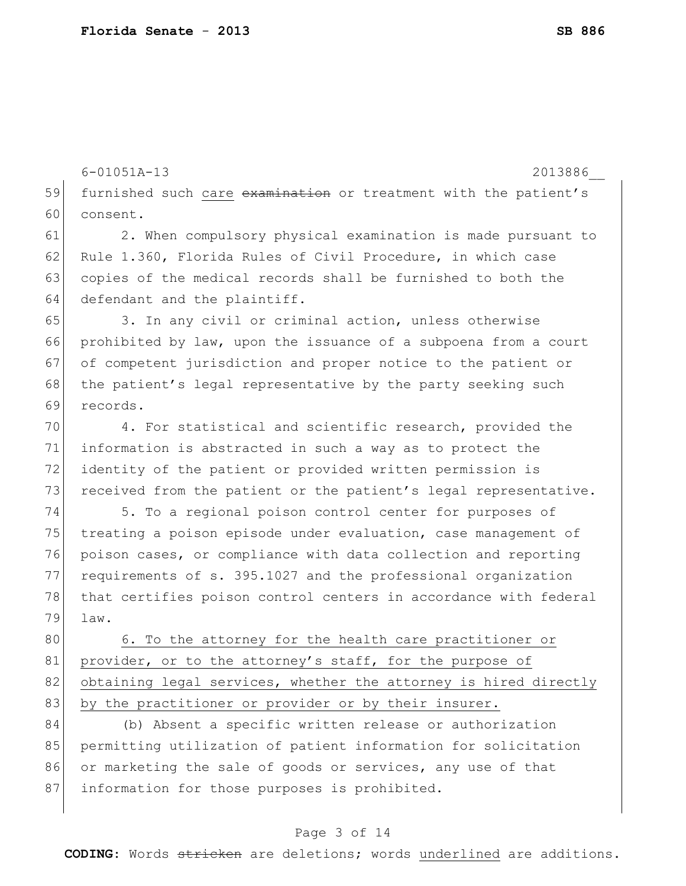6-01051A-13 2013886\_\_

59 furnished such care examination or treatment with the patient's 60 consent.

61 2. When compulsory physical examination is made pursuant to 62 Rule 1.360, Florida Rules of Civil Procedure, in which case 63 copies of the medical records shall be furnished to both the 64 defendant and the plaintiff.

65 3. In any civil or criminal action, unless otherwise 66 prohibited by law, upon the issuance of a subpoena from a court 67 of competent jurisdiction and proper notice to the patient or 68 the patient's legal representative by the party seeking such 69 records.

70 4. For statistical and scientific research, provided the 71 information is abstracted in such a way as to protect the 72 identity of the patient or provided written permission is 73 received from the patient or the patient's legal representative.

74 5. To a regional poison control center for purposes of 75 treating a poison episode under evaluation, case management of 76 poison cases, or compliance with data collection and reporting 77 requirements of s. 395.1027 and the professional organization 78 that certifies poison control centers in accordance with federal 79 law.

80 6. To the attorney for the health care practitioner or 81 provider, or to the attorney's staff, for the purpose of 82 obtaining legal services, whether the attorney is hired directly 83 by the practitioner or provider or by their insurer.

84 (b) Absent a specific written release or authorization 85 permitting utilization of patient information for solicitation 86 or marketing the sale of goods or services, any use of that 87 information for those purposes is prohibited.

#### Page 3 of 14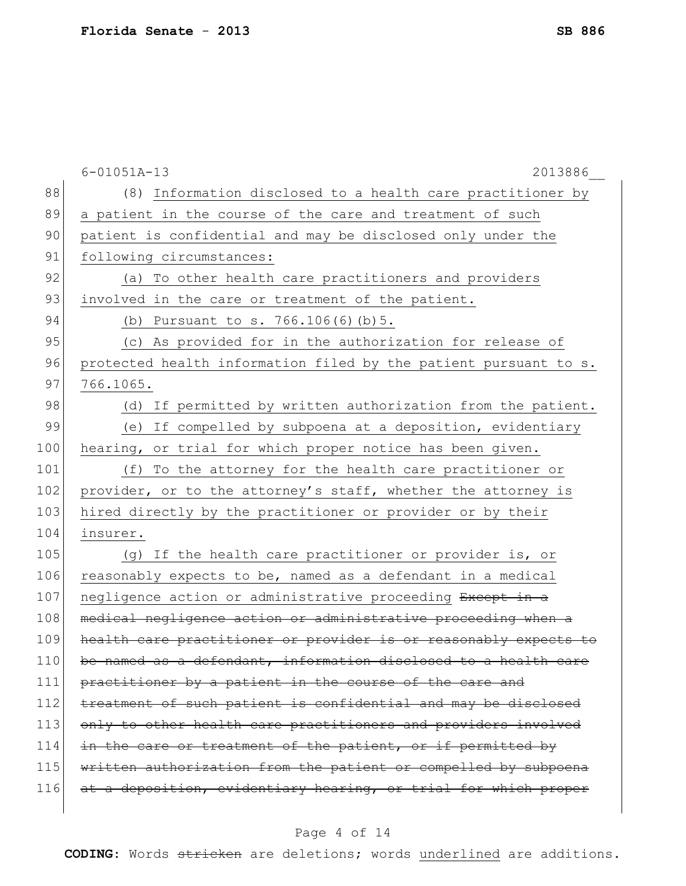|     | $6 - 01051A - 13$<br>2013886                                     |
|-----|------------------------------------------------------------------|
| 88  | (8) Information disclosed to a health care practitioner by       |
| 89  | a patient in the course of the care and treatment of such        |
| 90  | patient is confidential and may be disclosed only under the      |
| 91  | following circumstances:                                         |
| 92  | To other health care practitioners and providers<br>(a)          |
| 93  | involved in the care or treatment of the patient.                |
| 94  | (b) Pursuant to s. 766.106(6)(b)5.                               |
| 95  | (c) As provided for in the authorization for release of          |
| 96  | protected health information filed by the patient pursuant to s. |
| 97  | 766.1065.                                                        |
| 98  | If permitted by written authorization from the patient.<br>(d)   |
| 99  | (e) If compelled by subpoena at a deposition, evidentiary        |
| 100 | hearing, or trial for which proper notice has been given.        |
| 101 | To the attorney for the health care practitioner or<br>(f)       |
| 102 | provider, or to the attorney's staff, whether the attorney is    |
| 103 | hired directly by the practitioner or provider or by their       |
| 104 | insurer.                                                         |
| 105 | (g) If the health care practitioner or provider is, or           |
| 106 | reasonably expects to be, named as a defendant in a medical      |
| 107 | negligence action or administrative proceeding Except in a       |
| 108 | medical negligence action or administrative proceeding when a    |
| 109 | health care practitioner or provider is or reasonably expects to |
| 110 | be named as a defendant, information disclosed to a health care  |
| 111 | practitioner by a patient in the course of the care and          |
| 112 | treatment of such patient is confidential and may be disclosed   |
| 113 | only to other health care practitioners and providers involved   |
| 114 | in the care or treatment of the patient, or if permitted by      |
| 115 | written authorization from the patient or compelled by subpoena  |
| 116 | at a deposition, evidentiary hearing, or trial for which proper  |
|     |                                                                  |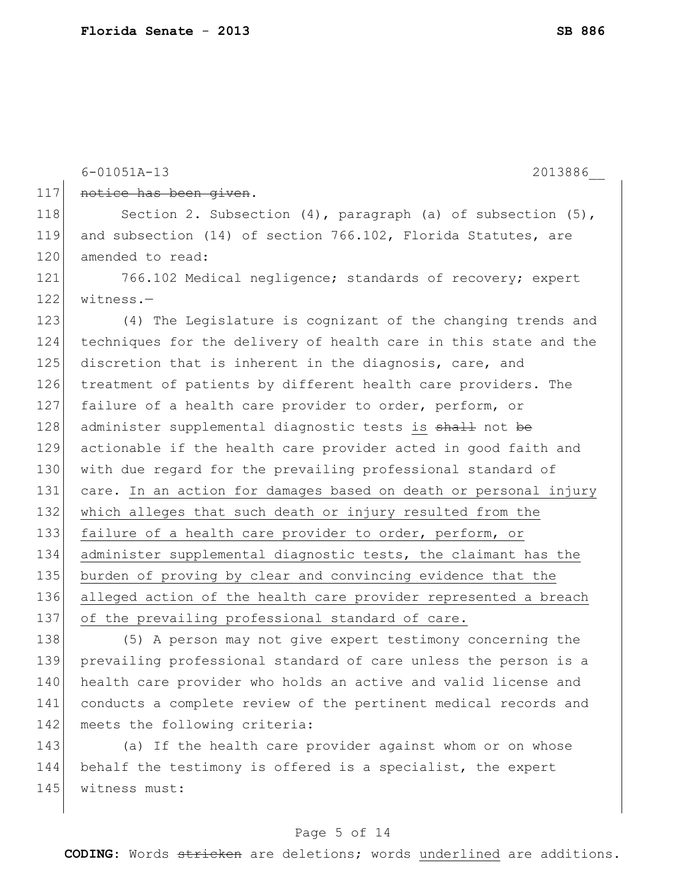|     | $6 - 01051A - 13$<br>2013886                                        |
|-----|---------------------------------------------------------------------|
| 117 | notice has been given.                                              |
| 118 | Section 2. Subsection $(4)$ , paragraph $(a)$ of subsection $(5)$ , |
| 119 | and subsection (14) of section 766.102, Florida Statutes, are       |
| 120 | amended to read:                                                    |
| 121 | 766.102 Medical negligence; standards of recovery; expert           |
| 122 | $witness.$ -                                                        |
| 123 | (4) The Legislature is cognizant of the changing trends and         |
| 124 | techniques for the delivery of health care in this state and the    |
| 125 | discretion that is inherent in the diagnosis, care, and             |
| 126 | treatment of patients by different health care providers. The       |
| 127 | failure of a health care provider to order, perform, or             |
| 128 | administer supplemental diagnostic tests is shall not be            |
| 129 | actionable if the health care provider acted in good faith and      |
| 130 | with due regard for the prevailing professional standard of         |
| 131 | care. In an action for damages based on death or personal injury    |
| 132 | which alleges that such death or injury resulted from the           |
| 133 | failure of a health care provider to order, perform, or             |
| 134 | administer supplemental diagnostic tests, the claimant has the      |
| 135 | burden of proving by clear and convincing evidence that the         |
| 136 | alleged action of the health care provider represented a breach     |
| 137 | of the prevailing professional standard of care.                    |
| 138 | (5) A person may not give expert testimony concerning the           |
| 139 | prevailing professional standard of care unless the person is a     |
| 140 | health care provider who holds an active and valid license and      |

143 (a) If the health care provider against whom or on whose 144 behalf the testimony is offered is a specialist, the expert 145 witness must:

142 meets the following criteria:

141 conducts a complete review of the pertinent medical records and

#### Page 5 of 14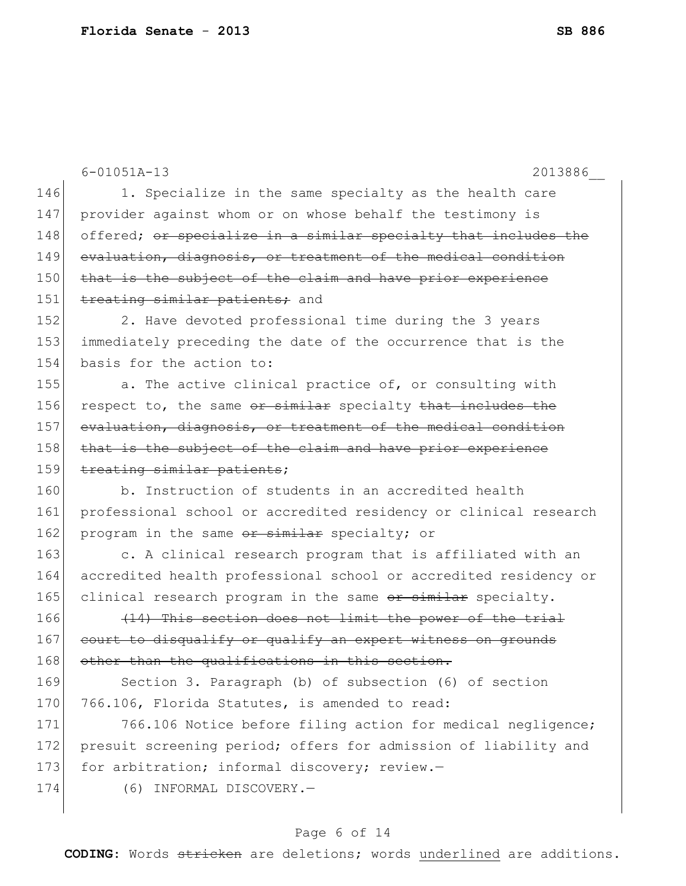|     | $6 - 01051A - 13$<br>2013886                                     |
|-----|------------------------------------------------------------------|
| 146 | 1. Specialize in the same specialty as the health care           |
| 147 | provider against whom or on whose behalf the testimony is        |
| 148 | offered; or specialize in a similar specialty that includes the  |
| 149 | evaluation, diagnosis, or treatment of the medical condition     |
| 150 |                                                                  |
| 151 | that is the subject of the claim and have prior experience       |
|     | treating similar patients; and                                   |
| 152 | 2. Have devoted professional time during the 3 years             |
| 153 | immediately preceding the date of the occurrence that is the     |
| 154 | basis for the action to:                                         |
| 155 | a. The active clinical practice of, or consulting with           |
| 156 | respect to, the same or similar specialty that includes the      |
| 157 | evaluation, diagnosis, or treatment of the medical condition     |
| 158 | that is the subject of the claim and have prior experience       |
| 159 | treating similar patients;                                       |
| 160 | b. Instruction of students in an accredited health               |
| 161 | professional school or accredited residency or clinical research |
| 162 | program in the same or similar specialty; or                     |
| 163 | c. A clinical research program that is affiliated with an        |
| 164 | accredited health professional school or accredited residency or |
| 165 | clinical research program in the same or similar specialty.      |
| 166 | (14) This section does not limit the power of the trial          |
| 167 | court to disqualify or qualify an expert witness on grounds      |
| 168 | other than the qualifications in this section.                   |
| 169 | Section 3. Paragraph (b) of subsection (6) of section            |
| 170 | 766.106, Florida Statutes, is amended to read:                   |
| 171 | 766.106 Notice before filing action for medical negligence;      |
| 172 | presuit screening period; offers for admission of liability and  |
| 173 | for arbitration; informal discovery; review.-                    |
| 174 | INFORMAL DISCOVERY.-<br>(6)                                      |
|     |                                                                  |

# Page 6 of 14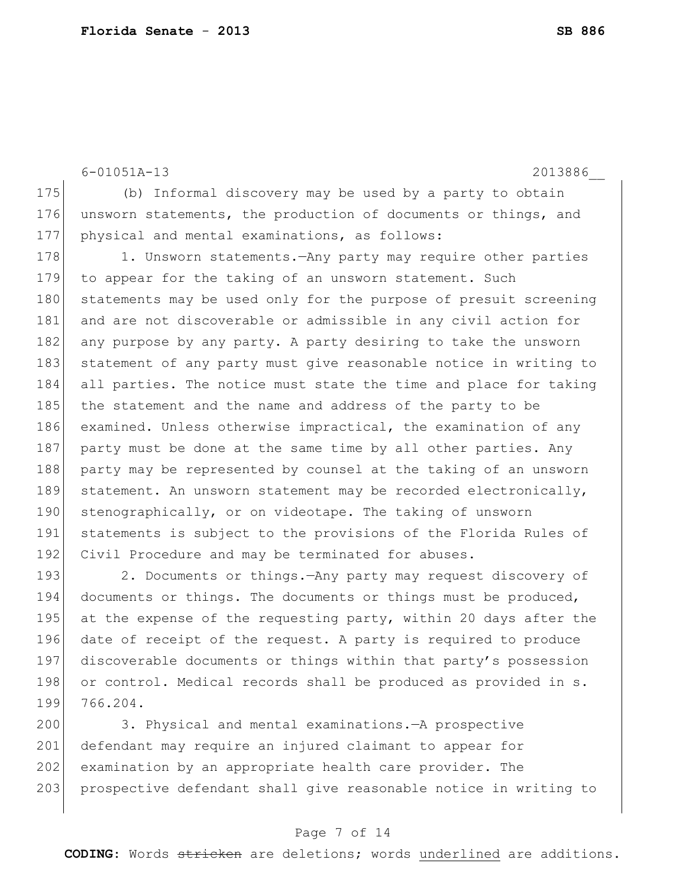6-01051A-13 2013886\_\_

175 (b) Informal discovery may be used by a party to obtain 176 unsworn statements, the production of documents or things, and 177 physical and mental examinations, as follows:

178 1. Unsworn statements.—Any party may require other parties 179 to appear for the taking of an unsworn statement. Such 180 statements may be used only for the purpose of presuit screening 181 and are not discoverable or admissible in any civil action for 182 any purpose by any party. A party desiring to take the unsworn 183 statement of any party must give reasonable notice in writing to 184 all parties. The notice must state the time and place for taking 185 the statement and the name and address of the party to be 186 examined. Unless otherwise impractical, the examination of any 187 party must be done at the same time by all other parties. Any 188 party may be represented by counsel at the taking of an unsworn 189 statement. An unsworn statement may be recorded electronically, 190 stenographically, or on videotape. The taking of unsworn 191 statements is subject to the provisions of the Florida Rules of 192 Civil Procedure and may be terminated for abuses.

193 2. Documents or things. - Any party may request discovery of 194 documents or things. The documents or things must be produced, 195 at the expense of the requesting party, within 20 days after the 196 date of receipt of the request. A party is required to produce 197 discoverable documents or things within that party's possession 198 or control. Medical records shall be produced as provided in s. 199 766.204.

200 3. Physical and mental examinations.—A prospective 201 defendant may require an injured claimant to appear for 202 examination by an appropriate health care provider. The 203 prospective defendant shall give reasonable notice in writing to

#### Page 7 of 14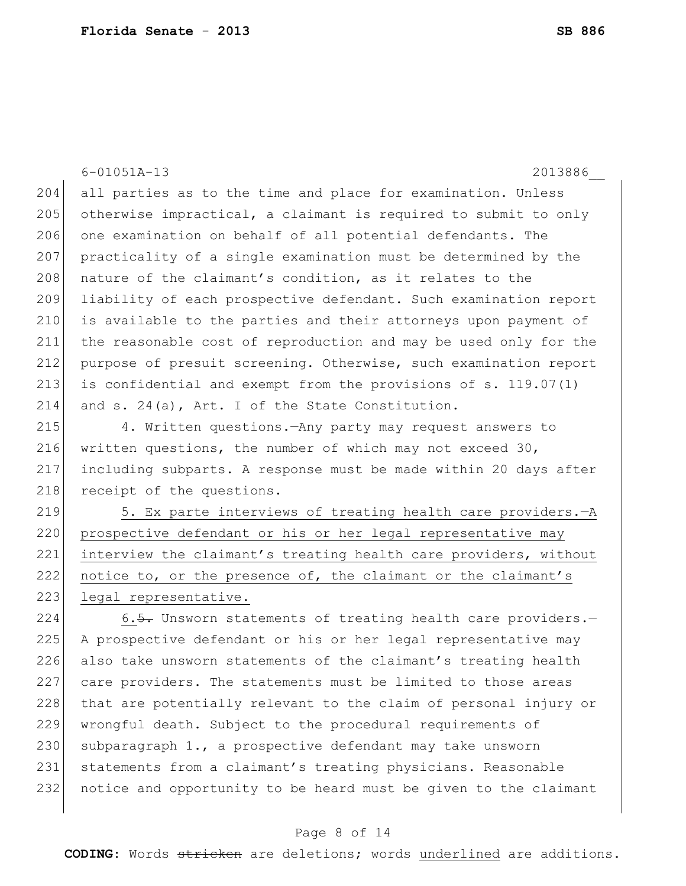|                         | $6 - 01051A - 13$<br>2013886                                     |
|-------------------------|------------------------------------------------------------------|
| 204                     | all parties as to the time and place for examination. Unless     |
| 205                     | otherwise impractical, a claimant is required to submit to only  |
| 206                     | one examination on behalf of all potential defendants. The       |
| 207                     | practicality of a single examination must be determined by the   |
| 208                     | nature of the claimant's condition, as it relates to the         |
| 209                     | liability of each prospective defendant. Such examination report |
| 210                     | is available to the parties and their attorneys upon payment of  |
| 211                     | the reasonable cost of reproduction and may be used only for the |
| 212                     | purpose of presuit screening. Otherwise, such examination report |
| 213                     | is confidential and exempt from the provisions of s. 119.07(1)   |
| 214                     | and s. 24(a), Art. I of the State Constitution.                  |
| 215                     | 4. Written questions. - Any party may request answers to         |
| 216                     | written questions, the number of which may not exceed 30,        |
| 217                     | including subparts. A response must be made within 20 days after |
| 218                     | receipt of the questions.                                        |
| 219                     | 5. Ex parte interviews of treating health care providers. - A    |
| 220                     | prospective defendant or his or her legal representative may     |
| 221                     | interview the claimant's treating health care providers, without |
| 222                     | notice to, or the presence of, the claimant or the claimant's    |
| 223                     | legal representative.                                            |
| 224                     | 6.5. Unsworn statements of treating health care providers.-      |
| $\cap$ $\cap$ $\subset$ | 7 meessaatioo defendent en bis en ben legel nommegentetioe meu   |

225 A prospective defendant or his or her legal representative may 226 also take unsworn statements of the claimant's treating health 227 care providers. The statements must be limited to those areas 228 that are potentially relevant to the claim of personal injury or 229 wrongful death. Subject to the procedural requirements of 230 subparagraph  $1.,$  a prospective defendant may take unsworn 231 statements from a claimant's treating physicians. Reasonable 232 notice and opportunity to be heard must be given to the claimant

#### Page 8 of 14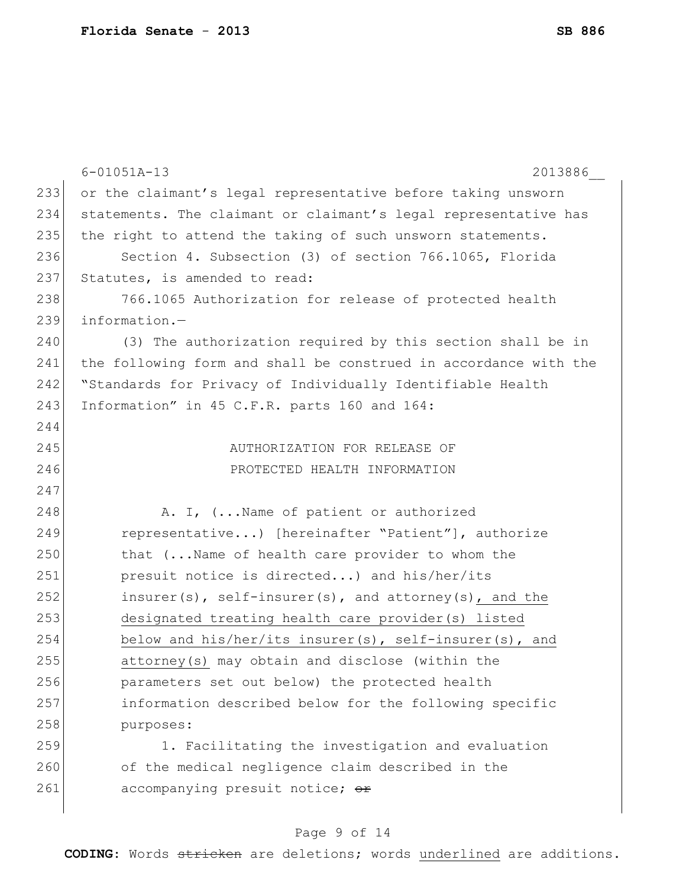|     | $6 - 01051A - 13$<br>2013886                                     |
|-----|------------------------------------------------------------------|
| 233 | or the claimant's legal representative before taking unsworn     |
| 234 | statements. The claimant or claimant's legal representative has  |
| 235 | the right to attend the taking of such unsworn statements.       |
| 236 | Section 4. Subsection (3) of section 766.1065, Florida           |
| 237 | Statutes, is amended to read:                                    |
| 238 | 766.1065 Authorization for release of protected health           |
| 239 | information.-                                                    |
| 240 | (3) The authorization required by this section shall be in       |
| 241 | the following form and shall be construed in accordance with the |
| 242 | "Standards for Privacy of Individually Identifiable Health       |
| 243 | Information" in 45 C.F.R. parts 160 and 164:                     |
| 244 |                                                                  |
| 245 | AUTHORIZATION FOR RELEASE OF                                     |
| 246 | PROTECTED HEALTH INFORMATION                                     |
| 247 |                                                                  |
| 248 | A. I, ( Name of patient or authorized                            |
| 249 | representative) [hereinafter "Patient"], authorize               |
| 250 | that (Name of health care provider to whom the                   |
| 251 | presuit notice is directed) and his/her/its                      |
| 252 | insurer(s), self-insurer(s), and attorney(s), and the            |
| 253 | designated treating health care provider (s) listed              |
| 254 | below and his/her/its insurer(s), self-insurer(s), and           |
| 255 | attorney(s) may obtain and disclose (within the                  |
| 256 | parameters set out below) the protected health                   |
| 257 | information described below for the following specific           |
| 258 | purposes:                                                        |
| 259 | 1. Facilitating the investigation and evaluation                 |
| 260 | of the medical negligence claim described in the                 |
| 261 | accompanying presuit notice; or                                  |
|     |                                                                  |

# Page 9 of 14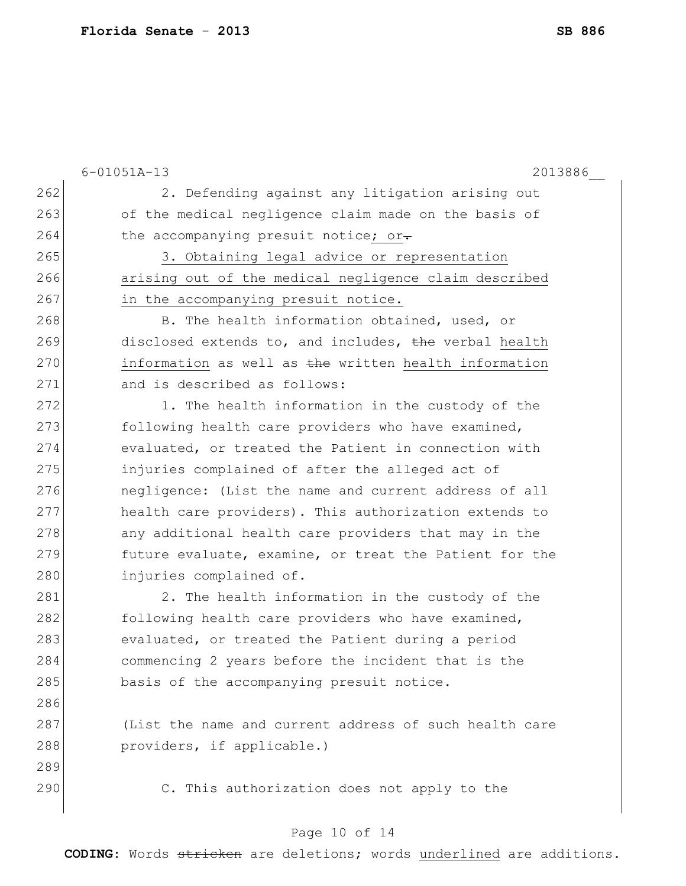|     | $6 - 01051A - 13$<br>2013886                           |
|-----|--------------------------------------------------------|
| 262 | 2. Defending against any litigation arising out        |
| 263 | of the medical negligence claim made on the basis of   |
| 264 | the accompanying presuit notice; or-                   |
| 265 | 3. Obtaining legal advice or representation            |
| 266 | arising out of the medical negligence claim described  |
| 267 | in the accompanying presuit notice.                    |
| 268 | B. The health information obtained, used, or           |
| 269 | disclosed extends to, and includes, the verbal health  |
| 270 | information as well as the written health information  |
| 271 | and is described as follows:                           |
| 272 | 1. The health information in the custody of the        |
| 273 | following health care providers who have examined,     |
| 274 | evaluated, or treated the Patient in connection with   |
| 275 | injuries complained of after the alleged act of        |
| 276 | negligence: (List the name and current address of all  |
| 277 | health care providers). This authorization extends to  |
| 278 | any additional health care providers that may in the   |
| 279 | future evaluate, examine, or treat the Patient for the |
| 280 | injuries complained of.                                |
| 281 | 2. The health information in the custody of the        |
| 282 | following health care providers who have examined,     |
| 283 | evaluated, or treated the Patient during a period      |
| 284 | commencing 2 years before the incident that is the     |
| 285 | basis of the accompanying presuit notice.              |
| 286 |                                                        |
| 287 | (List the name and current address of such health care |
| 288 | providers, if applicable.)                             |
| 289 |                                                        |
| 290 | C. This authorization does not apply to the            |

# Page 10 of 14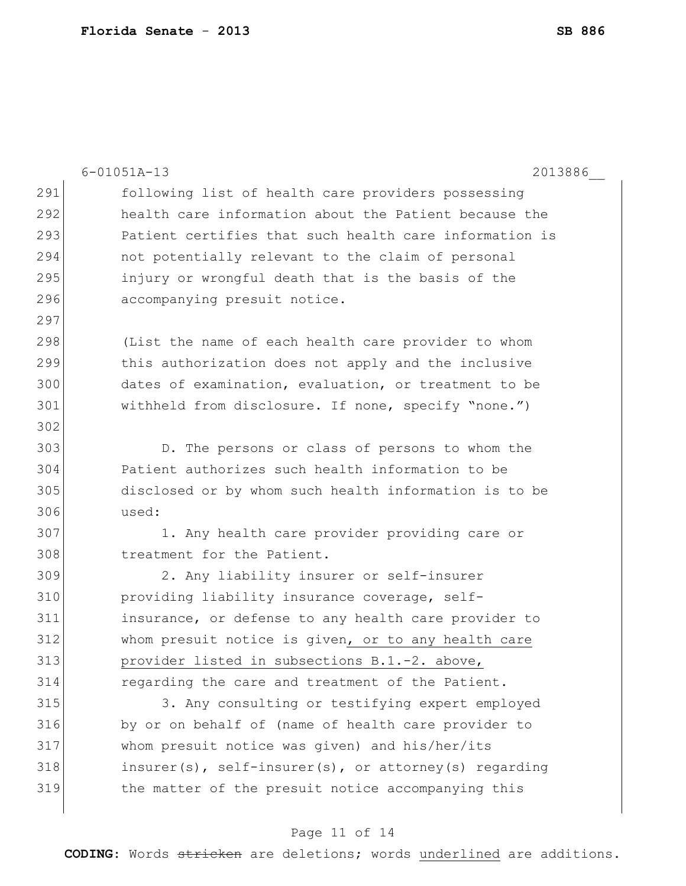|     | $6 - 01051A - 13$<br>2013886                             |
|-----|----------------------------------------------------------|
| 291 | following list of health care providers possessing       |
| 292 | health care information about the Patient because the    |
| 293 | Patient certifies that such health care information is   |
| 294 | not potentially relevant to the claim of personal        |
| 295 | injury or wrongful death that is the basis of the        |
| 296 | accompanying presuit notice.                             |
| 297 |                                                          |
| 298 | (List the name of each health care provider to whom      |
| 299 | this authorization does not apply and the inclusive      |
| 300 | dates of examination, evaluation, or treatment to be     |
| 301 | withheld from disclosure. If none, specify "none.")      |
| 302 |                                                          |
| 303 | D. The persons or class of persons to whom the           |
| 304 | Patient authorizes such health information to be         |
| 305 | disclosed or by whom such health information is to be    |
| 306 | used:                                                    |
| 307 | 1. Any health care provider providing care or            |
| 308 | treatment for the Patient.                               |
| 309 | 2. Any liability insurer or self-insurer                 |
| 310 | providing liability insurance coverage, self-            |
| 311 | insurance, or defense to any health care provider to     |
| 312 | whom presuit notice is given, or to any health care      |
| 313 | provider listed in subsections B.1.-2. above,            |
| 314 | regarding the care and treatment of the Patient.         |
| 315 | 3. Any consulting or testifying expert employed          |
| 316 | by or on behalf of (name of health care provider to      |
| 317 | whom presuit notice was given) and his/her/its           |
| 318 | $insurer(s)$ , self-insurer(s), or attorney(s) regarding |
| 319 | the matter of the presuit notice accompanying this       |
|     |                                                          |

# Page 11 of 14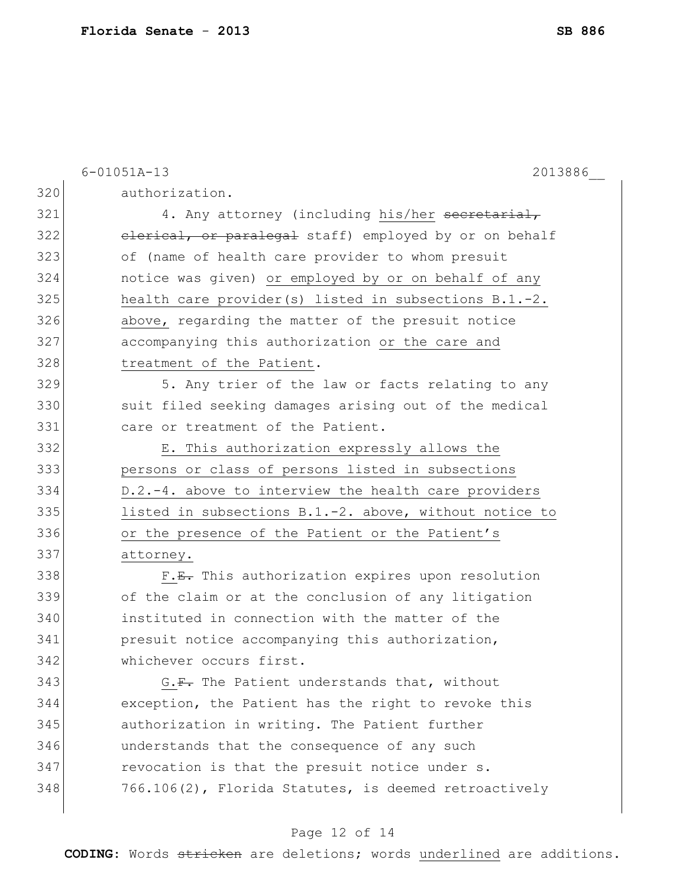|     | $6 - 01051A - 13$<br>2013886                             |
|-----|----------------------------------------------------------|
| 320 | authorization.                                           |
| 321 | 4. Any attorney (including his/her secretarial,          |
| 322 | elerical, or paralegal staff) employed by or on behalf   |
| 323 | of (name of health care provider to whom presuit         |
| 324 | notice was given) or employed by or on behalf of any     |
| 325 | health care provider(s) listed in subsections B.1.-2.    |
| 326 | above, regarding the matter of the presuit notice        |
| 327 | accompanying this authorization or the care and          |
| 328 | treatment of the Patient.                                |
| 329 | 5. Any trier of the law or facts relating to any         |
| 330 | suit filed seeking damages arising out of the medical    |
| 331 | care or treatment of the Patient.                        |
| 332 | E. This authorization expressly allows the               |
| 333 | persons or class of persons listed in subsections        |
| 334 | D.2.-4. above to interview the health care providers     |
| 335 | listed in subsections $B.1.-2.$ above, without notice to |
| 336 | or the presence of the Patient or the Patient's          |
| 337 | attorney.                                                |
| 338 | F.E. This authorization expires upon resolution          |
| 339 | of the claim or at the conclusion of any litigation      |
| 340 | instituted in connection with the matter of the          |
| 341 | presuit notice accompanying this authorization,          |
| 342 | whichever occurs first.                                  |
| 343 | G.F. The Patient understands that, without               |
| 344 | exception, the Patient has the right to revoke this      |
| 345 | authorization in writing. The Patient further            |
| 346 | understands that the consequence of any such             |
| 347 | revocation is that the presuit notice under s.           |
| 348 | 766.106(2), Florida Statutes, is deemed retroactively    |

# Page 12 of 14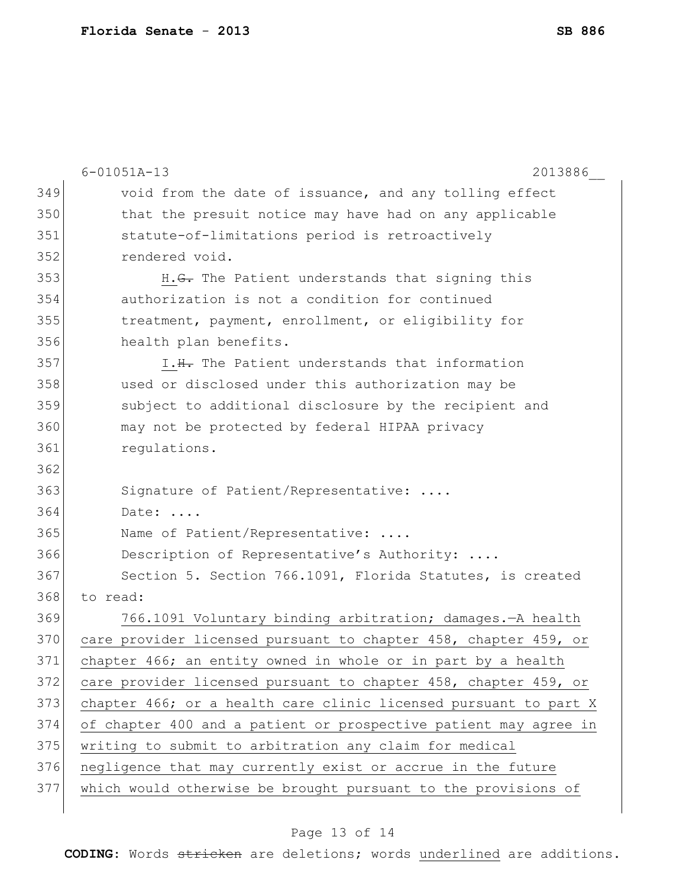|     | $6 - 01051A - 13$<br>2013886                                     |
|-----|------------------------------------------------------------------|
| 349 | void from the date of issuance, and any tolling effect           |
| 350 | that the presuit notice may have had on any applicable           |
| 351 | statute-of-limitations period is retroactively                   |
| 352 | rendered void.                                                   |
| 353 | H. <del>G.</del> The Patient understands that signing this       |
| 354 | authorization is not a condition for continued                   |
| 355 | treatment, payment, enrollment, or eligibility for               |
| 356 | health plan benefits.                                            |
| 357 | I.H. The Patient understands that information                    |
| 358 | used or disclosed under this authorization may be                |
| 359 | subject to additional disclosure by the recipient and            |
| 360 | may not be protected by federal HIPAA privacy                    |
| 361 | regulations.                                                     |
| 362 |                                                                  |
| 363 | Signature of Patient/Representative:                             |
| 364 | Date:                                                            |
| 365 | Name of Patient/Representative:                                  |
| 366 | Description of Representative's Authority:                       |
| 367 | Section 5. Section 766.1091, Florida Statutes, is created        |
| 368 | to read:                                                         |
| 369 | 766.1091 Voluntary binding arbitration; damages. - A health      |
| 370 | care provider licensed pursuant to chapter 458, chapter 459, or  |
| 371 | chapter 466; an entity owned in whole or in part by a health     |
| 372 | care provider licensed pursuant to chapter 458, chapter 459, or  |
| 373 | chapter 466; or a health care clinic licensed pursuant to part X |
| 374 | of chapter 400 and a patient or prospective patient may agree in |
| 375 | writing to submit to arbitration any claim for medical           |
| 376 | negligence that may currently exist or accrue in the future      |
| 377 | which would otherwise be brought pursuant to the provisions of   |
|     |                                                                  |

# Page 13 of 14